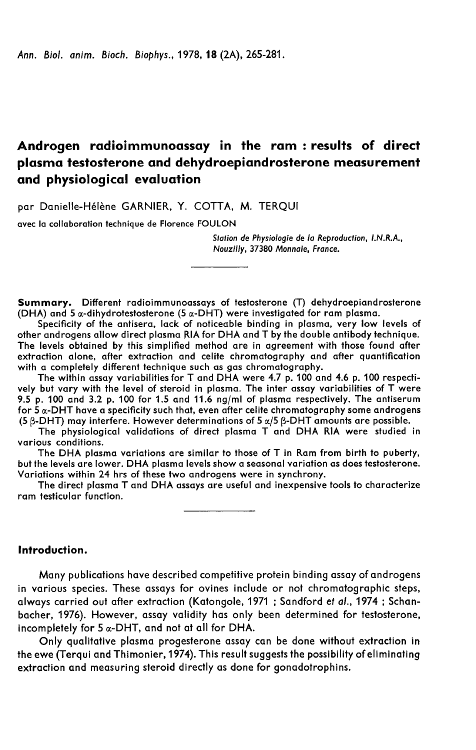# Androgen radioimmunoassay in the ram : results of direct plasma testosterone and dehydroepiandrosterone measurement and physiological evaluation

par Danielle-Hélène GARNIER, Y. COTTA, M. TERQUI

avec la collaboration technique de Florence FOULON

Station de Physiologie de la Reproduction, LN.R.A., Nouzilly, 37380 Monnaie, Fronce.

Summary. Different radioimmunoassays of testosterone (T) dehydroepiandrosterone (DHA) and 5  $\alpha$ -dihydrotestosterone (5  $\alpha$ -DHT) were investigated for ram plasma.

Specificity of the antisera, lack of noticeable binding in plasma, very low levels of other androgens allow direct plasma RIA for DHA and T by the double antibody technique. The levels obtained by this simplified method are in agreement with those found after extraction alone, after extraction and celite chromatography and after quantification with a completely different technique such as gas chromatography.

The within assay variabilities for T and DHA were 4.7 p. 100 and 4.6 p. 100 respectively but vary with the level of steroid in plasma. The inter assay variabilities of T were 9.5 p. 100 and 3.2 p. 100 for 1.5 and 11.6 ng/ml of plasma respectively. The antiserum for  $\bar{5}$   $\alpha$ -DHT have a specificity such that, even after celite chromatography some androgens (5  $\beta$ -DHT) may interfere. However determinations of 5  $\alpha/5$   $\beta$ -DHT amounts are possible.

The physiological validations of direct plasma T and DHA RIA were studied in various conditions.

The DHA plasma variations are similar to those of T in Ram from birth to puberty, but the levels are lower. DHA plasma levels show a seasonal variation as does testosterone. Variations within 24 hrs of these two androgens were in synchrony.

The direct plasma T and DHA assays are useful and inexpensive tools to characterize ram testicular function.

Introduction.

Many publications have described competitive protein binding assay of androgens in various species. These assays for ovines include or not chromatographic steps, always carried out after extraction (Katongole, 1971 ; Sandford et a/., 1974 ; Schanbacher, 1976). However, assay validity has only been determined for testosterone, incompletely for  $5 \alpha$ -DHT, and not at all for DHA.

Only qualitative plasma progesterone assay can be done without extraction in the ewe (Terqui and Thimonier, 1974). This result suggests the possibility of eliminating extraction and measuring steroid directly as done for gonadotrophins.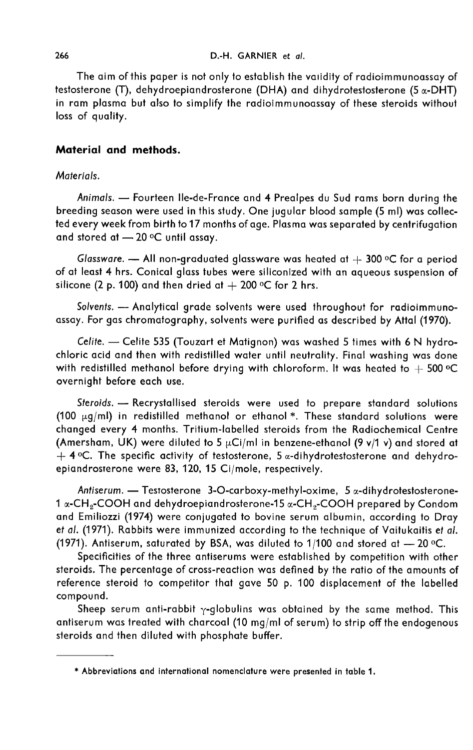#### D.-H. GARNIER et al.

The aim of this paper is not only to establish the vaiidity of radioimmunoassay of testosterone (T), dehydroepiandrosterone (DHA) and dihydrotestosterone (5  $\alpha$ -DHT) in ram plasma but also to simplify the radioimmunoassay of these steroids without loss of quality.

# Material and methods.

## Materials.

Animals. - Fourteen Ile-de-France and 4 Prealpes du Sud rams born during the breeding season were used in this study. One jugular blood sample (5 ml) was collected every week from birth to 17 months of age. Plasma was separated by centrifugation and stored at  $-20$  °C until assay.

Glassware.  $-$  All non-graduated glassware was heated at  $+$  300 °C for a period of at least 4 hrs. Conical glass tubes were siliconized with an aqueous suspension of Glassware. — All non-graduated glassware was head<br>of at least 4 hrs. Conical glass tubes were siliconized w<br>silicone (2 p. 100) and then dried at  $+$  200 °C for 2 hrs.

Solvents. - Analytical grade solvents were used throughout for radioimmunoassay. For gas chromatography, solvents were purified as described by Attal (1970).

Celite.  $-$  Celite 535 (Touzart et Matignon) was washed 5 times with 6 N hydrochloric acid and then with redistilled water until neutrality. Final washing was done Celite. — Celite 535 (Touzart et Matignon) was washed 5 times with 6 N hydro-<br>chloric acid and then with redistilled water until neutrality. Final washing was done<br>with redistilled methanol before drying with chloroform. overnight before each use.

Steroids. - Recrystallised steroids were used to prepare standard solutions (100  $\mu$ g/ml) in redistilled methanol or ethanol \*. These standard solutions were changed every 4 months. Tritium-labelled steroids from the Radiochemical Centre (Amersham, UK) were diluted to 5  $\mu$ Ci/ml in benzene-ethanol (9 v/1 v) and stored at  $+$  4 °C. The specific activity of testosterone, 5  $\alpha$ -dihydrotestosterone and dehydroepiandrosterone were 83, 120, 15 Ci/mole, respectively. changed every 4 months. Tritium-labelled steroids from the Radiochemical Centre<br>(Amersham, UK) were diluted to 5  $\mu$ Ci/ml in benzene-ethanol (9 v/1 v) and stored at<br>+ 4 °C. The specific activity of testosterone, 5  $\alpha$ -d

Antiserum. — Testosterone 3-O-carboxy-methyl-oxime, 5  $\alpha$ -dihydrotestosterone-<br>1  $\alpha$ -CH<sub>2</sub>-COOH and dehydroepiandrosterone-15  $\alpha$ -CH<sub>2</sub>-COOH prepared by Condom and Emiliozzi (1974) were conjugated to bovine serum albumin, according to Dray et al. (1971). Rabbits were immunized according to the technique of Vaitukaitis et al. (1971). Antiserum, saturated by BSA, was diluted to 1/100 and stored at  $-$  20 °C.

Specificities of the three antiserums were established by competition with other steroids. The percentage of cross-reaction was defined by the ratio of the amounts of reference steroid to competitor that gave 50 p. 100 displacement of the labelled compound.

Sheep serum anti-rabbit  $\gamma$ -globulins was obtained by the same method. This antiserum was treated with charcoal (10 mg/ml of serum) to strip off the endogenous steroids and then diluted with phosphate buffer.

<sup>\*</sup> Abbreviations and international nomenclature were presented in table 1.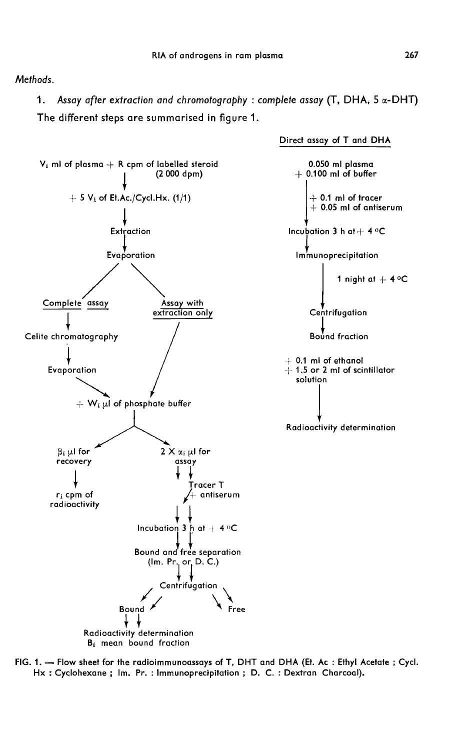Methods.

1. Assay after extraction and chromotography : complete assay (T, DHA, 5  $\alpha$ -DHT) The different steps are summarised in figure 1.



FIG. 1. - Flow sheet for the radioimmunoassays of T, DHT and DHA (Et. Ac : Ethyl Acetate ; Cycl. Hx: Cyclohexane; Im. Pr.: Immunoprecipitation; D. C.: Dextran Charcoal).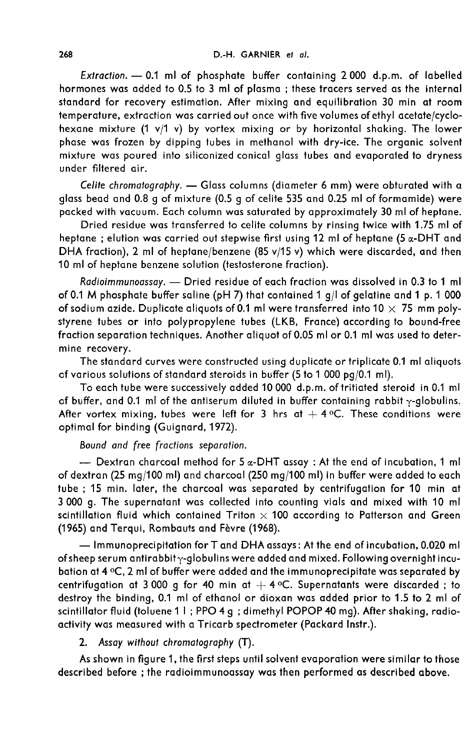Extraction. - 0.1 ml of phosphate buffer containing 2000 d.p.m. of labelled hormones was added to 0.5 to 3 ml of plasma ; these tracers served as the internal standard for recovery estimation. After mixing and equilibration 30 min at room temperature, extraction was carried out once with five volumes of ethyl acetate/cyclohexane mixture (1 v/1 v) by vortex mixing or by horizontal shaking. The lower phase was frozen by dipping tubes in methanol with dry-ice. The organic solvent mixture was poured into siliconized conical glass tubes and evaporated to dryness under filtered air.

Celite chromatography. - Glass columns (diameter 6 mm) were obturated with a glass bead and 0.8 g of mixture (0.5 g of celite 535 and 0.25 ml of formamide) were packed with vacuum. Each column was saturated by approximately 30 ml of heptane.

Dried residue was transferred to celite columns by rinsing twice with 1.75 ml of heptane ; elution was carried out stepwise first using  $12$  ml of heptane (5  $\alpha$ -DHT and DHA fraction), 2 ml of heptane/benzene (85 v/15 v) which were discarded, and then 10 ml of heptane benzene solution (testosterone fraction).

Radioimmunoassay. - Dried residue of each fraction was dissolved in 0.3 to 1 ml of 0.1 M phosphate buffer saline (pH 7) that contained 1 g/l of gelatine and 1 p. 1 000 of sodium azide. Duplicate aliquots of 0.1 ml were transferred into 10  $\times$  75 mm polystyrene tubes or into polypropylene tubes (LKB, France) according to bound-free fraction separation techniques. Another aliquot of 0.05 ml or 0.1 ml was used to determine recovery.

The standard curves were constructed using duplicate or triplicate 0.1 ml aliquots of various solutions of standard steroids in buffer (5 to 1 000 pg/0.1 ml).

To each tube were successively added 10 000 d.p.m. of tritiated steroid in 0.1 ml of buffer, and 0.1 ml of the antiserum diluted in buffer containing rabbit  $\gamma$ -globulins. After vortex mixing, tubes were left for 3 hrs at  $+$  4 °C. These conditions were optimal for binding (Guignard, 1972).

Bound and free fractions separation.<br>- Dextran charcoal method for 5  $\alpha$ -DHT assay : At the end of incubation, 1 ml of dextran (25 mg/100 ml) and charcoal (250 mg/100 ml) in buffer were added to each tube ; 15 min. later, the charcoal was separated by centrifugation for 10 min at 3 000 g. The supernatant was collected into counting vials and mixed with 10 ml scintillation fluid which contained Triton  $\times$  100 according to Patterson and Green (1965) and Terqui, Rombauts and Fèvre (1968).

 $-$  Immunoprecipitation for T and DHA assays: At the end of incubation, 0.020 ml of sheep serum antirabbit  $\gamma$ -globulins were added and mixed. Following overnight incubation at 4 oC, 2 ml of buffer were added and the immunoprecipitate was separated by centrifugation at 3 000 g for 40 min at  $+$  4 °C. Supernatants were discarded; to destroy the binding, 0.1 ml of ethanol or dioxan was added prior to 1.5 to 2 ml of scintillator fluid (toluene 1 I ; PPO 4 g ; dimethyl POPOP 40 mg). After shaking, radioactivity was measured with a Tricarb spectrometer (Packard Instr.).

## 2. Assay without chromatography (T).

As shown in figure 1, the first steps until solvent evaporation were similar to those described before ; the radioimmunoassay was then performed as described above.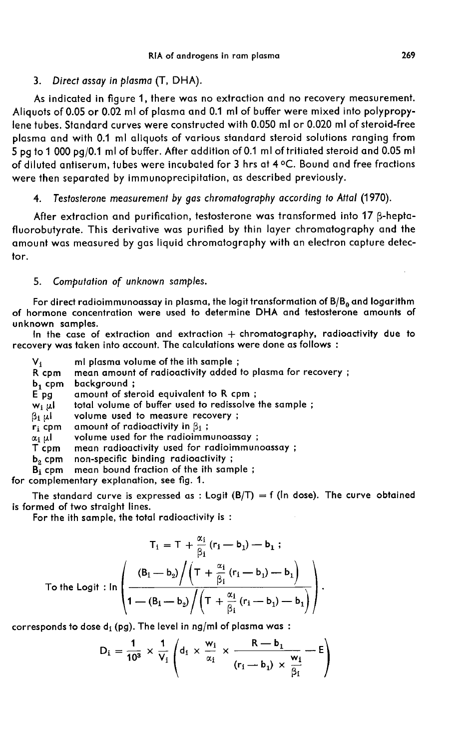#### 3. Direct assay in plasma (T, DHA).

As indicated in figure 1, there was no extraction and no recovery measurement. Aliquots of 0.05 or 0.02 ml of plasma and 0.1 ml of buffer were mixed into polypropylene tubes. Standard curves were constructed with 0.050 ml or 0.020 ml of steroid-free plasma and with 0.1 ml aliquots of various standard steroid solutions ranging from 5 pg to 1 000 pg/0.1 ml of buffer. After addition of 0.1 ml of tritiated steroid and 0.05 ml of diluted antiserum, tubes were incubated for  $3$  hrs at  $4^{\circ}$ C. Bound and free fractions were then separated by immunoprecipitation, as described previously.

### 4. Testosterone measurement by gas chromatography according to Attal (1970).

After extraction and purification, testosterone was transformed into 17  $\beta$ -heptafluorobutyrate. This derivative was purified by thin layer chromatography and the amount was measured by gas liquid chromatography with an electron capture detector.

# 5. Computation of unknown samples.

For direct radioimmunoassay in plasma, the logit transformation of  $B/B<sub>0</sub>$  and logarithm of hormone concentration were used to determine DHA and testosterone amounts of unknown samples.

In the case of extraction and extraction  $+$  chromatography, radioactivity due to recovery was taken into account. The calculations were done as follows :

 $V_i$  ml plasma volume of the ith sample ;<br>R cpm mean amount of radioactivity added R cpm mean amount of radioactivity added to plasma for recovery ;<br> $b_1$  cpm background ;  $b_1$  cpm background ;<br>E pg amount of ste E pg amount of steroid equivalent to R cpm;<br> $w_i \mu l$  total volume of buffer used to redissolve  $w_i \mu l$  total volume of buffer used to redissolve the sample ;<br> $\beta_i \mu l$  volume used to measure recovery ;  $\beta_1 \mu$  volume used to measure recovery ;<br>r<sub>i</sub> cpm amount of radioactivity in  $\beta_1$  ;  $\mathbf{r_i}$  cpm amount of radioactivity in  $\beta_1$ ;<br> $\alpha_i$   $\mu$ l volume used for the radioimm  $\alpha_1$   $\mu$ l volume used for the radioimmunoassay ;<br>T cpm – mean radioactivity used for radioimmun T cpm – mean radioactivity used for radioimmunoassay ;<br> $b_2$  cpm – non-specific binding radioactivity ;  $b_2$  cpm non-specific binding radioactivity ;<br>B<sub>i</sub> cpm mean bound fraction of the ith sam mean bound fraction of the ith sample;

for complementary explanation, see fig. 1.

The standard curve is expressed as : Logit  $(B/T) = f$  (In dose). The curve obtained is formed of two straight lines.

For the ith sample, the total radioactivity is :

$$
T_1 = T + \frac{\alpha_1}{\beta_1} (r_1 - b_1) - b_1 ;
$$
  
To the Logit : In 
$$
\left( \frac{(B_1 - b_2) / (T + \frac{\alpha_1}{\beta_1} (r_1 - b_1) - b_1)}{1 - (B_1 - b_2) / (T + \frac{\alpha_1}{\beta_1} (r_1 - b_1) - b_1)} \right).
$$

corresponds to dose  $d_i$  (pg). The level in ng/ml of plasma was :

$$
D_i = \frac{1}{10^3} \times \frac{1}{V_i} \left( d_1 \times \frac{w_i}{\alpha_i} \times \frac{R - b_1}{(r_i - b_1) \times \frac{w_i}{\beta_i}} - E \right)
$$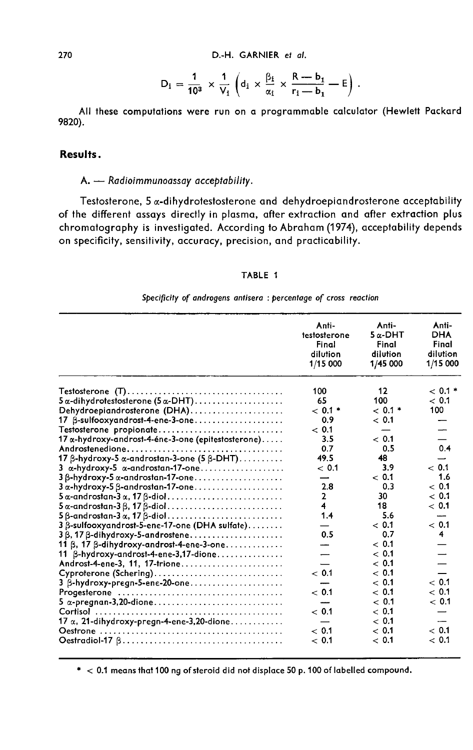$$
D_i = \frac{1}{10^3} \times \frac{1}{V_i} \left( d_i \times \frac{\beta_i}{\alpha_i} \times \frac{R-b_1}{r_i-b_1} - E \right).
$$

All these computations were run on a programmable calculator (Hewlett Packard 9820).

# Results.

# A. - Radioimmunoassay acceptability.

Testosterone, 5  $\alpha$ -dihydrotestosterone and dehydroepiandrosterone acceptability of the different assays directly in plasma, after extraction and after extraction plus chromatography is investigated. According to Abraham (1974), acceptability depends on specificity, sensitivity, accuracy, precision, and practicability.

#### TABLE 1

#### Specificity of androgens antisera : percentage of cross reaction

|                                                                  | Anti-<br>testosterone<br>Final<br>dilution<br>1/15 000 | Anti-<br>$5\alpha$ -DHT<br>Final<br>dilution<br>1/45 000 | Anti-<br><b>DHA</b><br>Final<br>dilution<br>1/15 000 |
|------------------------------------------------------------------|--------------------------------------------------------|----------------------------------------------------------|------------------------------------------------------|
|                                                                  | 100                                                    | 12                                                       | $< 0.1$ *                                            |
| $5\alpha$ -dihydrotestosterone (5 $\alpha$ -DHT)                 | 65                                                     | 100                                                      | ~< 0.1                                               |
| Dehydroepiandrosterone (DHA)                                     | $< 0.1$ *                                              | $< 0.1$ *                                                | 100                                                  |
| 17 B-sulfooxyandrost-4-ene-3-one                                 | 0.9                                                    | ~< 0.1                                                   |                                                      |
| Testosterone propionate                                          | ~< 0.1                                                 | –                                                        |                                                      |
| 17 α-hydroxy-androst-4-éne-3-one (epitestosterone).              | 3.5                                                    | ~< 0.1                                                   |                                                      |
|                                                                  | 0.7                                                    | 0.5                                                      | 0.4                                                  |
| 17 $\beta$ -hydroxy-5 $\alpha$ -androstan-3-one (5 $\beta$ -DHT) | 49.5                                                   | 48                                                       |                                                      |
| $3\alpha$ -hydroxy-5 $\alpha$ -androstan-17-one                  | $~<$ 0.1                                               | 3.9                                                      | ~< 0.1                                               |
| 3 B-hydroxy-5 a-androstan-17-one                                 |                                                        | ~< 0.1                                                   | 1.6                                                  |
| $3\alpha$ -hydroxy-5 $\beta$ -androstan-17-one                   | 2.8                                                    | 0.3                                                      | ~<~0.1                                               |
| $5\alpha$ -androstan- $3\alpha$ , 17 $\beta$ -diol               | $\mathbf{2}$                                           | 30                                                       | ~< 0.1                                               |
| $5\alpha$ -androstan-3 $\beta$ , 17 $\beta$ -diol                | 4                                                      | 18                                                       | ~< 0.1                                               |
| $5\,\beta$ -androstan-3 $\alpha$ , 17 $\beta$ -diol              | 1.4                                                    | 5.6                                                      | ----                                                 |
| 3 B-sulfooxyandrost-5-ene-17-one (DHA sulfate).                  |                                                        | ~< 0.1                                                   | ~< 0.1                                               |
| $3\beta$ , 17 $\beta$ -dihydroxy-5-androstene                    | 0.5                                                    | 0.7                                                      | 4                                                    |
| 11 β, 17 β-dihydroxy-androst-4-ene-3-one.                        |                                                        | ~< 0.1                                                   |                                                      |
| 11 B-hydroxy-androst-4-ene-3,17-dione                            |                                                        | ~< 0.1                                                   |                                                      |
| Androst-4-ene-3, 11, 17-trione                                   |                                                        | $~<$ 0.1                                                 |                                                      |
| Cyproterone (Schering)                                           | < 0.1                                                  | ~< 0.1                                                   |                                                      |
| 3 B-hydroxy-pregn-5-ene-20-one                                   |                                                        | ~< 0.1                                                   | ~< 0.1                                               |
|                                                                  | ~< 0.1                                                 | ~< 0.1                                                   | ~< 0.1                                               |
| 5 α-pregnan-3,20-dione                                           |                                                        | ~< 0.1                                                   | ~< 0.1                                               |
|                                                                  | ~< 0.1                                                 | ~< 0.1                                                   |                                                      |
| 17 $\alpha$ , 21-dihydroxy-pregn-4-ene-3,20-dione                | —                                                      | ~< 0.1                                                   |                                                      |
|                                                                  | < 0.1                                                  | < 0.1                                                    | $~<$ 0.1                                             |
|                                                                  | ~< 0.1                                                 | ~< 0.1                                                   | < 0.1                                                |

 $*$  < 0.1 means that 100 ng of steroid did not displace 50 p. 100 of labelled compound.

270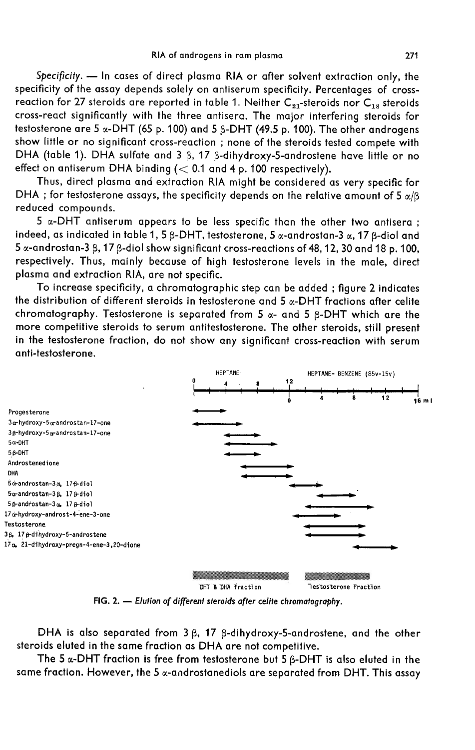Specificity. - In cases of direct plasma RIA or after solvent extraction only, the specificity of the assay depends solely on antiserum specificity. Percentages of cross-RIA of androgens in ram plasma<br>
Specificity. — In cases of direct plasma RIA or after solvent extraction only, the<br>
specificity of the assay depends solely on antiserum specificity. Percentages of cross-<br>
reaction for 27 cross-react significantly with the three antisera. The major interfering steroids for testosterone are 5  $\alpha$ -DHT (65 p. 100) and 5  $\beta$ -DHT (49.5 p. 100). The other androgens show little or no significant cross-reaction ; none of the steroids tested compete with DHA (table 1). DHA sulfate and 3  $\beta$ , 17  $\beta$ -dihydroxy-5-androstene have little or no effect on antiserum DHA binding  $(< 0.1$  and 4 p. 100 respectively).

Thus, direct plasma and extraction RIA might be considered as very specific for DHA ; for testosterone assays, the specificity depends on the relative amount of 5  $\alpha/\beta$ reduced compounds.

 $5 \alpha$ -DHT antiserum appears to be less specific than the other two antisera; indeed, as indicated in table 1, 5  $\beta$ -DHT, testosterone, 5  $\alpha$ -androstan-3  $\alpha$ , 17  $\beta$ -diol and 5  $\alpha$ -androstan-3  $\beta$ , 17  $\beta$ -diol show significant cross-reactions of 48, 12, 30 and 18 p. 100, respectively. Thus, mainly because of high testosterone levels in the male, direct plasma and extraction RIA, are not specific.

To increase specificity, a chromatographic step can be added ; figure 2 indicates the distribution of different steroids in testosterone and 5  $\alpha$ -DHT fractions after celite chromatography. Testosterone is separated from 5  $\alpha$ - and 5  $\beta$ -DHT which are the more competitive steroids to serum antitestosterone. The other steroids, still present in the testosterone fraction, do not show any significant cross-reaction with serum anti-testosterone.



FIG. 2. - Elution of different steroids after celite chromatography.

DHA is also separated from  $3 \beta$ , 17  $\beta$ -dihydroxy-5-androstene, and the other steroids eluted in the same fraction as DHA are not competitive.

The 5  $\alpha$ -DHT fraction is free from testosterone but 5  $\beta$ -DHT is also eluted in the same fraction. However, the 5  $\alpha$ -androstanediols are separated from DHT. This assay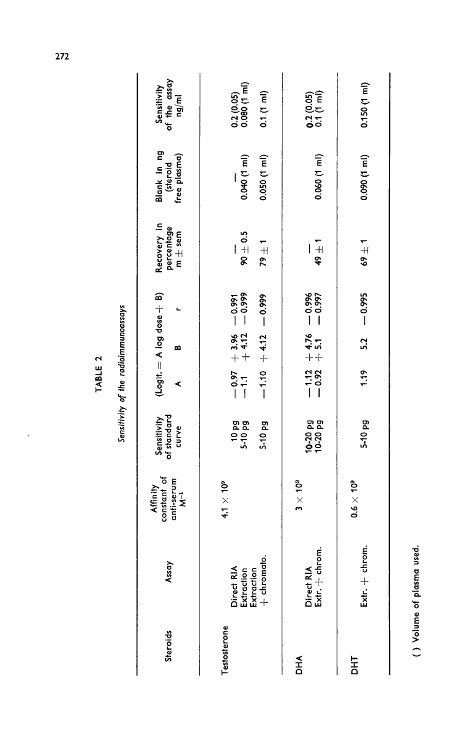| L<br>L      |  |
|-------------|--|
|             |  |
| í<br>ī<br>ŗ |  |
| J.          |  |
| ŀ           |  |

l,

Sensitivity of the radioimmunoassays

| Steroids | Assay                                                 | Affinity<br>constant of<br>anti-serum<br>M <sup>-1</sup> | Sensitivity<br>of standard<br>curve | $(Logit = A log does + B)$<br>⋖                                                                                                                                                                                                                                                                                                                                    | ≃ |               | Recovery in<br>percentage<br>$m \pm$ sem | Blank in ng<br>(steroid<br>free plasma) | of the assay<br>Sensitivity<br>ng/ml                                                          |
|----------|-------------------------------------------------------|----------------------------------------------------------|-------------------------------------|--------------------------------------------------------------------------------------------------------------------------------------------------------------------------------------------------------------------------------------------------------------------------------------------------------------------------------------------------------------------|---|---------------|------------------------------------------|-----------------------------------------|-----------------------------------------------------------------------------------------------|
|          | Direct RIA<br>Extraction<br>Extraction<br>+ chromato. | $4.1 \times 10^{9}$                                      | <b>Bab</b><br>105-1<br>5-10 pg      | $-0.97 + 3.96 - 0.991$<br>-1.1 +4.12 -0.999<br>$\frac{1}{2}$ $\frac{1}{2}$ $\frac{1}{2}$ $\frac{1}{2}$ $\frac{1}{2}$ $\frac{1}{2}$ $\frac{1}{2}$ $\frac{1}{2}$ $\frac{1}{2}$ $\frac{1}{2}$ $\frac{1}{2}$ $\frac{1}{2}$ $\frac{1}{2}$ $\frac{1}{2}$ $\frac{1}{2}$ $\frac{1}{2}$ $\frac{1}{2}$ $\frac{1}{2}$ $\frac{1}{2}$ $\frac{1}{2}$ $\frac{1}{2}$ $\frac{1}{2}$ |   |               | $90 \pm 0.5$<br>$79 \pm 1$               | $0.050(1 \text{ m})$<br>0.040 (1 ml)    | $\begin{array}{c} 0.2 \ (0.05) \\ 0.080 \ (1 \ \text{m1}) \end{array}$<br>$0.1(1 \text{ ml})$ |
|          |                                                       | $3\times 10^9$                                           | $10-20$ Pg<br>$10-20$               | $-1.12 + 4.76 - 0.996$<br>$-0.92 + 5.1 - 0.97$                                                                                                                                                                                                                                                                                                                     |   |               | $49 \pm 1$                               | 0.060 (1 ml)                            | $0.2(0.05)$<br>0.1 (1 ml)                                                                     |
|          | chrom.<br>Extr. $+$                                   | $0.6 \times 10^9$                                        | 5-10 pg                             | 1.19                                                                                                                                                                                                                                                                                                                                                               |   | $5.2 - 0.995$ | $69 \pm 1$                               | 0.090 (1 ml)                            | $0.150(1 \text{ ml})$                                                                         |

<sup>( )</sup> Volume of plasma used.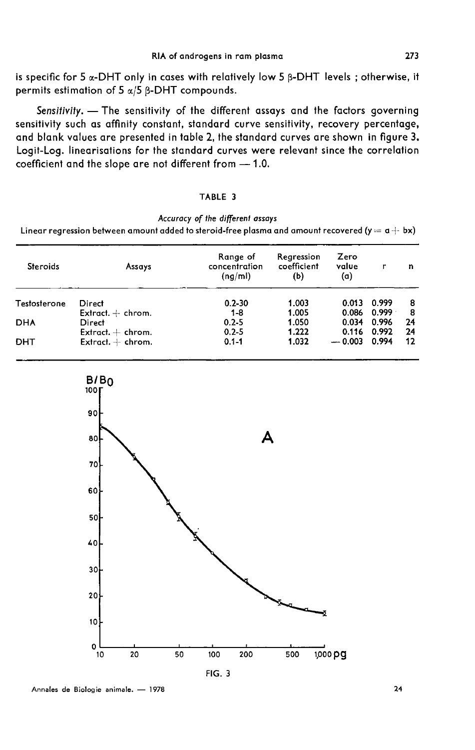is specific for 5  $\alpha$ -DHT only in cases with relatively low 5  $\beta$ -DHT levels; otherwise, it permits estimation of  $5 \alpha/5$   $\beta$ -DHT compounds.

Sensitivity. - The sensitivity of the different assays and the factors governing sensitivity such as affinity constant, standard curve sensitivity, recovery percentage, and blank values are presented in table 2, the standard curves are shown in figure 3. Logit-Log. linearisations for the standard curves were relevant since the correlation coefficient and the slope are not different from - 1.0.

#### TABLE 3

Accuracy of the different assays

Linear regression between amount added to steroid-free plasma and amount recovered ( $y = a + bx$ )

| <b>Steroids</b> | Assays              | Range of<br>concentration<br>(nq/ml) | Regression<br>coefficient<br>(b) | Zero<br>value<br>(a) | r     | n  |
|-----------------|---------------------|--------------------------------------|----------------------------------|----------------------|-------|----|
| Testosterone    | Direct              | $0.2 - 30$                           | 1.003                            | 0.013                | 0.999 | 8  |
|                 | Extract. $+$ chrom. | $1 - 8$                              | 1.005                            | 0.086                | 0.999 | 8  |
| <b>DHA</b>      | Direct              | $0.2 - 5$                            | 1.050                            | 0.034                | 0.996 | 24 |
|                 | Extract. $+$ chrom. | $0.2 - 5$                            | 1.222                            | 0.116                | 0.992 | 24 |
| DHT             | Extract. $+$ chrom. | $0.1 - 1$                            | 1.032                            | $-0.003$             | 0.994 | 12 |

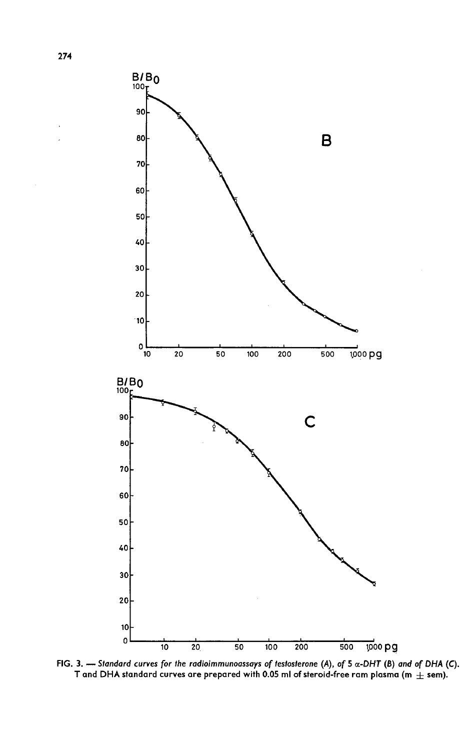

FIG. 3. - Standard curves for the radioimmunoassays of testosterone (A), of 5  $\alpha$ -DHT (B) and of DHA (C). T and DHA standard curves are prepared with 0.05 ml of steroid-free ram plasma (m  $\pm$  sem).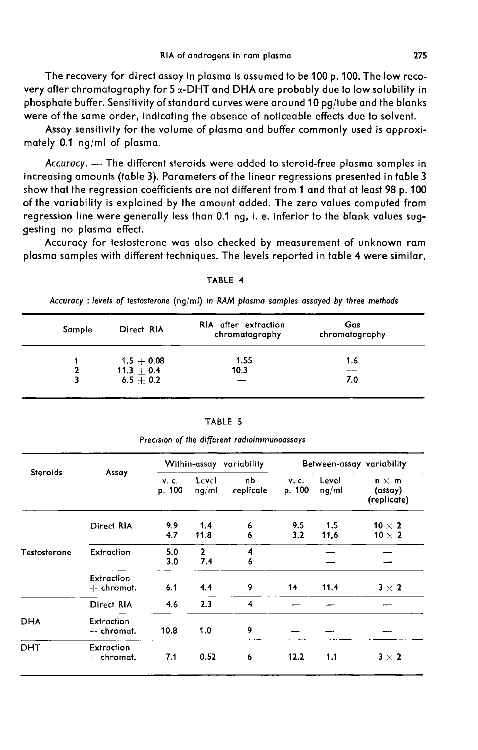The recovery for direct assay in plasma is assumed to be 100 p. 100. The low recovery after chromatography for 5 «-DHT and DHA are probably due to low solubility in phosphate buffer. Sensitivity of standard curves were around 10 pg/tube and the blanks were of the same order, indicating the absence of noticeable effects due to solvent.

Assay sensitivity for the volume of plasma and buffer commonly used is approximately 0.1 ng/ml of plasma.

Accuracy. - The different steroids were added to steroid-free plasma samples in increasing amounts (table 3). Parameters of the linear regressions presented in table 3 show that the regression coefficients are not different from 1 and that at least 98 p. 100 of the variability is explained by the amount added. The zero values computed from regression line were generally less than 0.1 ng, i. e. inferior to the blank values suggesting no plasma effect.

Accuracy for testosterone was also checked by measurement of unknown ram plasma samples with different techniques. The levels reported in table 4 were similar,

| Accuracy: levels of lesiosierone (ng/mi) in KAIN plasma samples assayed by infee memods |              |                                            |                       |  |  |  |
|-----------------------------------------------------------------------------------------|--------------|--------------------------------------------|-----------------------|--|--|--|
| Sample                                                                                  | Direct RIA   | RIA after extraction<br>$+$ chromatography | Gas<br>chromatography |  |  |  |
|                                                                                         | $1.5 + 0.08$ | 1.55                                       | 1.6                   |  |  |  |
|                                                                                         | $11.3 + 0.4$ | 10.3                                       |                       |  |  |  |
|                                                                                         | $6.5 + 0.2$  |                                            | 7.0                   |  |  |  |

TARIF 4

Accuracy : loyals of totastorong (ng/ml) in BAM blama camples assayed by three mothodo

|                 | Assay                      | Within-assay variability |                       | Between-assay variability |                       |                |                                        |
|-----------------|----------------------------|--------------------------|-----------------------|---------------------------|-----------------------|----------------|----------------------------------------|
| <b>Steroids</b> |                            | <b>V.C.</b><br>p. 100    | Level<br>ng/ml        | nЬ<br>replicate           | <b>v.c.</b><br>p. 100 | Level<br>ng/ml | $n \times m$<br>(assay)<br>(replicate) |
|                 | Direct RIA                 | 9.9<br>4.7               | 1.4<br>11.8           | 6<br>6                    | 9.5<br>3.2            | 1.5<br>11,6    | 10 $\times$ 2<br>10 $\times$ 2         |
| Testosterone    | <b>Extraction</b>          | 5.0<br>3.0               | $\overline{2}$<br>7.4 | 4<br>6                    |                       |                |                                        |
|                 | Extraction<br>$+$ chromat. | 6.1                      | 4.4                   | 9                         | 14                    | 11.4           | $3 \times 2$                           |
|                 | Direct RIA                 | 4.6                      | 2.3                   | 4                         |                       |                |                                        |
| <b>DHA</b>      | Extraction<br>4- chromat.  | 10.8                     | 1.0                   | 9                         |                       |                |                                        |
| DHT             | Extraction<br>+- chromat.  | 7.1                      | 0.52                  | 6                         | 12.2                  | 1.1            | $3 \times 2$                           |

TABLE 5 Precision of the different radioimmunoassays

275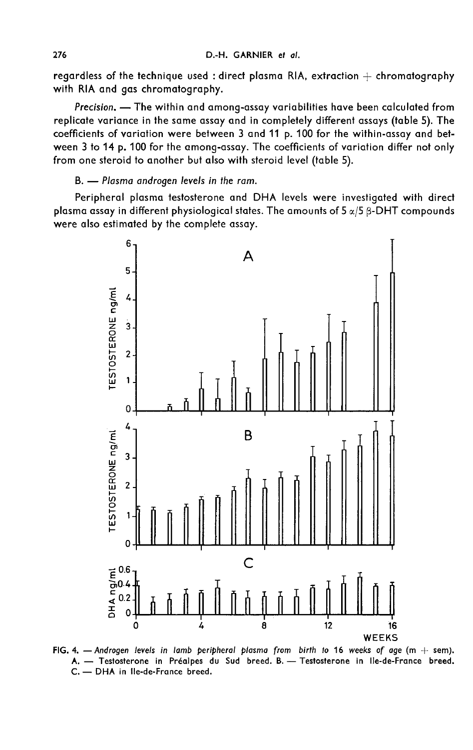regardless of the technique used : direct plasma RIA, extraction  $+$  chromatography with RIA and gas chromatography.

Precision. - The within and among-assay variabilities have been calculated from replicate variance in the same assay and in completely different assays (table 5). The coefficients of variation were between 3 and 11 p. 100 for the within-assay and between 3 to 14 p. 100 for the among-assay. The coefficients of variation differ not only from one steroid to another but also with steroid level (table 5).

### B. - Plasma androgen levels in the ram.

Peripheral plasma testosterone and DHA levels were investigated with direct plasma assay in different physiological states. The amounts of  $5 \alpha/5$   $\beta$ -DHT compounds were also estimated by the complete assay.



FIG. 4. - Androgen levels in lamb peripheral plasma from birth to 16 weeks of age ( $m + s$ em). A. - Testosterone in Préalpes du Sud breed. B. - Testosterone in Ile-de-France breed. C. - DHA in Ile-de-France breed.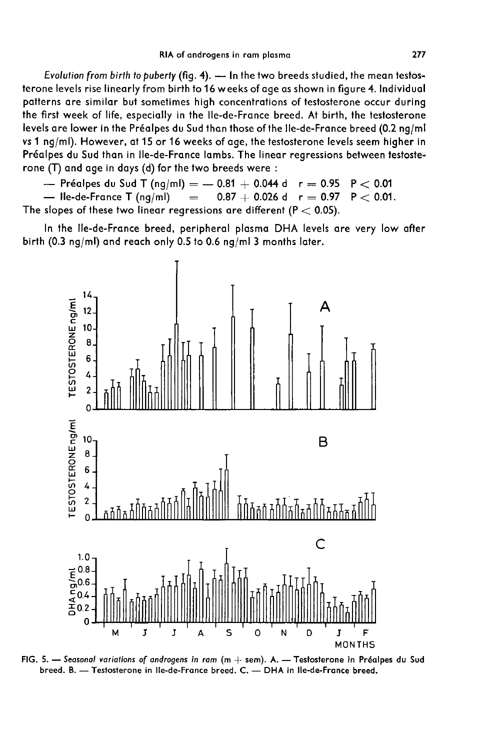Evolution from birth to puberty (fig. 4).  $-$  In the two breeds studied, the mean testosterone levels rise linearly from birth to 16 weeks of age as shown in figure 4. Individucil patterns are similar but sometimes high concentrations of testosterone occur during the first week of life, especially in the Ile-de-France breed. At birth, the testosterone levels are lower in the Préalpes du Sud than those of the Ile-de-France breed (0.2 ng/mi vs 1 ng/ml). However, at 15 or 16 weeks of age, the testosterone levels seem higher in Préalpes du Sud than in Ile-de-France lambs. The linear regressions between testosterone (T) and age in days (d) for the two breeds were :

- Préalpes du Sud T (ng/ml)  $=$   $-$  0.81  $+$  0.044 d  $r =$  0.95  $P < 0.01$ <br>- Ile-de-France T (ng/ml)  $=$  0.87  $+$  0.026 d  $r =$  0.97  $P < 0.01$ .  $-$  Ile-de-France T (ng/ml) The slopes of these two linear regressions are different ( $P < 0.05$ ).

In the Ile-de-France breed, peripheral plasma DHA levels are very low after birth (0.3 ng/ml) and reach only 0.5 to 0.6 ng/ml 3 months later.



FIG. 5. - Seasonal variations of androgens in ram ( $m +$  sem). A. - Testosterone in Préalpes du Sud breed. B. - Testosterone in Ile-de-France breed. C. - DHA in Ile-de-France breed.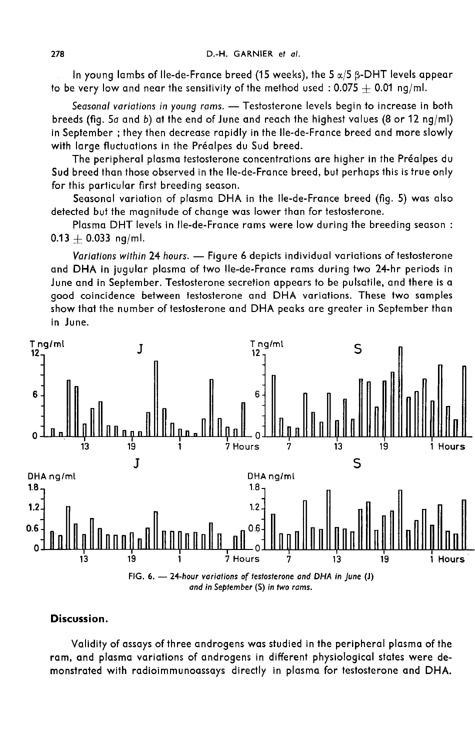In young lambs of Ile-de-France breed (15 weeks), the 5  $\alpha/5$   $\beta$ -DHT levels appear to be very low and near the sensitivity of the method used : 0.075  $+$  0.01 ng/ml.

Seasonal variations in young rams. - Testosterone levels begin to increase in both breeds (fig. 5a and b) at the end of June and reach the highest values (8 or 12 ng/ml) in September ; they then decrease rapidly in the Ile-de-France breed and more slowly with large fluctuations in the Préalpes du Sud breed.

The peripheral plasma testosterone concentrations are higher in the Pr6alpes du Sud breed than those observed in the Ile-de-France breed, but perhaps this is true only for this particular first breeding season.

Seasonal variation of plasma DHA in the Ile-de-France breed (fig. 5) was also detected but the magnitude of change was lower than for testosterone.

Plasma DHT levels in Ile-de-France rams were low during the breeding season :  $0.13 + 0.033$  ng/ml.

Variations within 24 hours. - Figure 6 depicts individual variations of testosterone and DHA in jugular plasma of two Ile-de-France rams during two 24-hr periods in June and in September. Testosterone secretion appears to be pulsatile, and there is a good coincidence between testosterone and DHA variations. These two samples show that the number of testosterone and DHA peaks are greater in September than in June.



#### Discussion.

Validity of assays of three androgens was studied in the peripheral plasma of the ram, and plasma variations of androgens in different physiological states were demonstrated with radioimmunoassays directly in plasma for testosterone and DHA.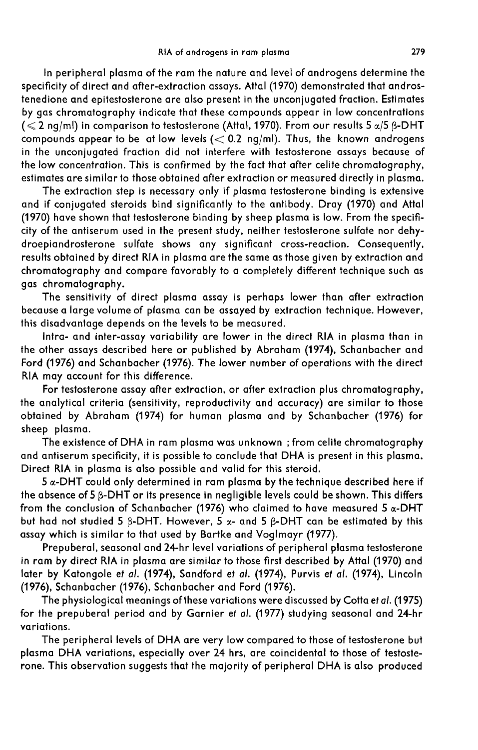In peripheral plasma of the ram the nature and level of androgens determine the specificity of direct and after-extraction assays. Attal (1970) demonstrated that androstenedione and epitestosterone are also present in the unconjugated fraction. Estimates by gas chromatography indicate that these compounds appear in low concentrations ( $\leq$  2 ng/ml) in comparison to testosterone (Attal, 1970). From our results 5  $\alpha$ /5  $\beta$ -DHT compounds appear to be at low levels  $(< 0.2$  ng/ml). Thus, the known androgens in the unconjugated fraction did not interfere with testosterone assays because of the low concentration. This is confirmed by the fact that after celite chromatography, estimates are similar to those obtained after extraction or measured directly in plasma.

The extraction step is necessary only if plasma testosterone binding is extensive and if conjugated steroids bind significantly to the antibody. Dray (1970) and Attal (1970) have shown that testosterone binding by sheep plasma is low. From the specificity of the antiserum used in the present study, neither testosterone sulfate nor dehydroepiandrosterone sulfate shows any significant cross-reaction. Consequently, results obtained by direct RIA in plasma are the same as those given by extraction and chromatography and compare favorably to a completely different technique such as gas chromatography.

The sensitivity of direct plasma assay is perhaps lower than after extraction because a large volume of plasma can be assayed by extraction technique. However, this disadvantage depends on the levels to be measured.

Intra- and inter-assay variability are lower in the direct RIA in plasma than in the other assays described here or published by Abraham (1974), Schanbacher and Ford (1976) and Schanbacher (1976). The lower number of operations with the direct RIA may account for this difference.

For testosterone assay after extraction, or after extraction plus chromatography, the analytical criteria (sensitivity, reproductivity and accuracy) are similar to those obtained by Abraham (1974) for human plasma and by Schanbacher (1976) for sheep plasma.

The existence of DHA in ram plasma was unknown ; from celite chromatography and antiserum specificity, it is possible to conclude that DHA is present in this plasma. Direct RIA in plasma is also possible and valid for this steroid.

 $5 \, \alpha$ -DHT could only determined in ram plasma by the technique described here if the absence of 5  $\beta$ -DHT or its presence in negligible levels could be shown. This differs from the conclusion of Schanbacher (1976) who claimed to have measured 5  $\alpha$ -DHT but had not studied 5  $\beta$ -DHT. However, 5  $\alpha$ - and 5  $\beta$ -DHT can be estimated by this assay which is similar to that used by Bartke and Voglmayr (1977).

Prepuberal, seasonal and 24-hr level variations of peripheral plasma testosterone in ram by direct RIA in plasma are similar to those first described by Attal (1970) and later by Katongole et al. (1974), Sandford et al. (1974), Purvis ef al. (1974), Lincoln (1976), Schanbacher (1976), Schanbacher and Ford (1976).

The physiological meanings of these variations were discussed by Cotta et al. (1975) for the prepuberal period and by Garnier et al. (1977) studying seasonal and 24-hr variations.

The peripheral levels of DHA are very low compared to those of testosterone but plasma DHA variations, especially over 24 hrs, are coincidental to those of testosterone. This observation suggests that the majority of peripheral DHA is also produced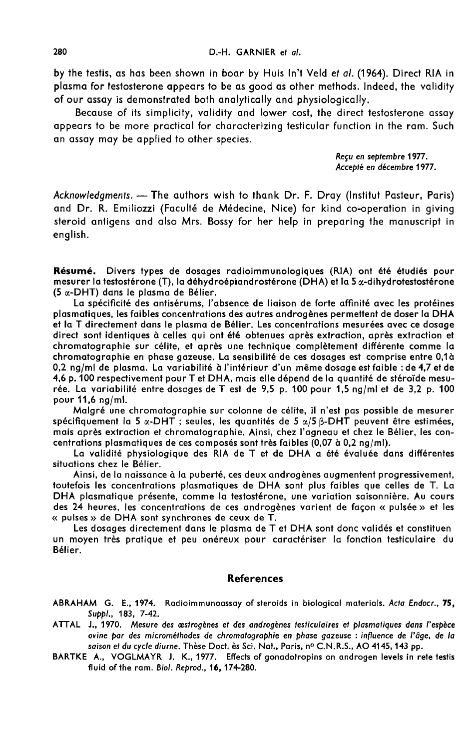by the testis, as has been shown in boar by Huis In't Veld et al. (1964). Direct RIA in plasma for testosterone appears to be as good as other methods. Indeed, the validity of our assay is demonstrated both analytically and physiologically.

Because of its simplicity, validity and lower cost, the direct testosterone assay appears to be more practical for characterizing testicular function in the ram. Such an assay may be applied to other species.

> Regu en septembre 1977. Accepté en décembre 1977.

Acknowledgments. - The authors wish to thank Dr. F. Dray (Institut Pasteur, Paris) and Dr. R. Emiliozzi (Faculté de Médecine, Nice) for kind co-operation in giving steroid antigens and also Mrs. Bossy for her help in preparing the manuscript in english.

Résumé. Divers types de dosages radioimmunologiques (RIA) ont été étudiés pour mesurer la testostérone (T), la déhydroépiandrostérone (DHA) et la 5 a-dihydrotestostérone (5 a-DHT) dans le plasma de Bélier.

La spécificité des antisérums, l'absence de liaison de forte affinité avec les protéines plasmatiques, les faibles concentrations des autres androgènes permettent de doser la DHA et la T directement dans le plasma de Bélier. Les concentrations mesurées avec ce dosage direct sont identiques à celles qui ont été obtenues après extraction, après extraction et chromatographie sur célite, et après une technique complètement différente comme la chromatographie en phase gazeuse. La sensibilité de ces dosages est comprise entre 0,1à a 0,2 ng/ml de plasma. La variabilité à l'intérieur d'un même dosage est faible : de 4,7 et de 4,6 p. 100 respectivement pour T et DHA, mais elle dépend de la quantité de stéroïde mesurée. La variabilité entre dosages de T est de 9,5 p. 100 pour 1,5 ng/ml et de 3,2 p. 100 pour 11,6 ng/ml.

Malgré une chromatographie sur colonne de célite, il n'est pas possible de mesurer spécifiquement la 5  $\alpha$ -DHT ; seules, les quantités de 5  $\alpha/5$   $\beta$ -DHT peuvent être estimées, mais après extraction et chromatographie. Ainsi, chez l'agneau et chez le Bélier, les concentrations plasmatiques de ces composés sont très faibles (0,07 à 0,2 ng/ml).

La validité physiologique des RIA de T et de DHA a été évaluée dans différentes situations chez le Bélier.

Ainsi, de la naissance à la puberté, ces deux androgènes augmentent progressivement, toutefois les concentrations plasmatiques de DHA sont plus faibles que celles de T. La DHA plasmatique présente, comme la testostérone, une variation saisonnière. Au cours des 24 heures, les concentrations de ces androgènes varient de façon « pulsée » et les « pulses » de DHA sont synchrones de ceux de T.

Les dosages directement dans le plasma de T et DHA sont donc validés et constituen un moyen très pratique et peu onéreux pour caractériser la fonction testiculaire du Bélier.

### References

ABRAHAM G. E., 1974. Radioimmunoassay of steroids in biological materials. Acta Endocr., 75, Suppi., 183, 7-42.

- ATTAL J., 1970. Mesure des œstrogènes et des androgènes testiculaires et plasmatiques dans l'espèce ovine par des microm6thodes de chromatographie en phase gazeuse : influence de I'age, de la saison et du cycle diurne. Thèse Doct. ès Sci. Nat., Paris, nº C.N.R.S., AO 4145, 143 pp.
- BARTKE A., VOGLMAYR J. K., 1977. Effects of gonadotropins on androgen levels in rete testis fluid of the ram. Biol. Reprod., 16, 174-280.